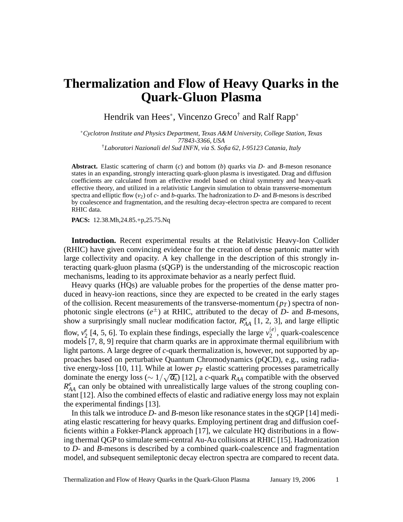## **Thermalization and Flow of Heavy Quarks in the Quark-Gluon Plasma**

Hendrik van Hees<sup>∗</sup>, Vincenzo Greco<sup>†</sup> and Ralf Rapp<sup>∗</sup>

∗*Cyclotron Institute and Physics Department, Texas A&M University, College Station, Texas 77843-3366, USA*

†*Laboratori Nazionali del Sud INFN, via S. Sofia 62, I-95123 Catania, Italy*

**Abstract.** Elastic scattering of charm (*c*) and bottom (*b*) quarks via *D*- and *B*-meson resonance states in an expanding, strongly interacting quark-gluon plasma is investigated. Drag and diffusion coefficients are calculated from an effective model based on chiral symmetry and heavy-quark effective theory, and utilized in a relativistic Langevin simulation to obtain transverse-momentum spectra and elliptic flow  $(v_2)$  of  $c$ - and  $b$ -quarks. The hadronization to  $D$ - and  $B$ -mesons is described by coalescence and fragmentation, and the resulting decay-electron spectra are compared to recent RHIC data.

**PACS:** 12.38.Mh,24.85.+p,25.75.Nq

**Introduction.** Recent experimental results at the Relativistic Heavy-Ion Collider (RHIC) have given convincing evidence for the creation of dense partonic matter with large collectivity and opacity. A key challenge in the description of this strongly interacting quark-gluon plasma (sQGP) is the understanding of the microscopic reaction mechanisms, leading to its approximate behavior as a nearly perfect fluid.

Heavy quarks (HQs) are valuable probes for the properties of the dense matter produced in heavy-ion reactions, since they are expected to be created in the early stages of the collision. Recent measurements of the transverse-momentum  $(p_T)$  spectra of nonphotonic single electrons  $(e^{\pm})$  at RHIC, attributed to the decay of *D*- and *B*-mesons, show a surprisingly small nuclear modification factor,  $R_{AA}^e$  [1, 2, 3], and large elliptic flow,  $v_2^e$  $\binom{e}{2}$  [4, 5, 6]. To explain these findings, especially the large  $v_2^{(e)}$  $2^{(e)}$ , quark-coalescence models [7, 8, 9] require that charm quarks are in approximate thermal equilibrium with light partons. A large degree of *c*-quark thermalization is, however, not supported by approaches based on perturbative Quantum Chromodynamics (pQCD), e.g., using radiative energy-loss [10, 11]. While at lower  $p_T$  elastic scattering processes parametrically dominate the energy loss ( $\sim 1/\sqrt{\alpha_s}$ ) [12], a *c*-quark  $R_{AA}$  compatible with the observed  $R_{AA}^e$  can only be obtained with unrealistically large values of the strong coupling constant [12]. Also the combined effects of elastic and radiative energy loss may not explain the experimental findings [13].

In this talk we introduce *D*- and *B*-meson like resonance states in the sQGP [14] mediating elastic rescattering for heavy quarks. Employing pertinent drag and diffusion coefficients within a Fokker-Planck approach [17], we calculate HQ distributions in a flowing thermal QGP to simulate semi-central Au-Au collisions at RHIC [15]. Hadronization to *D*- and *B*-mesons is described by a combined quark-coalescence and fragmentation model, and subsequent semileptonic decay electron spectra are compared to recent data.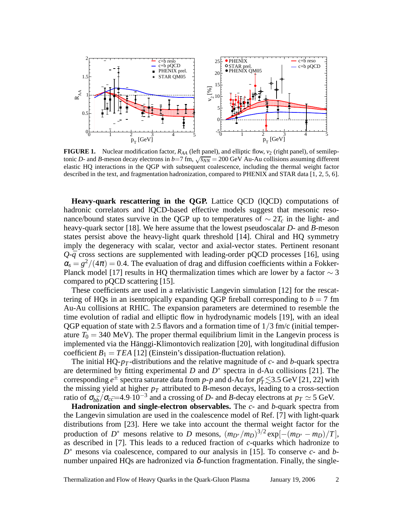

**FIGURE 1.** Nuclear modification factor,  $R_{AA}$  (left panel), and elliptic flow,  $v_2$  (right panel), of semileptonic *D*- and *B*-meson decay electrons in  $b=7$  fm,  $\sqrt{s_{NN}} = 200$  GeV Au-Au collisions assuming different elastic HQ interactions in the QGP with subsequent coalescence, including the thermal weight factor described in the text, and fragmentation hadronization, compared to PHENIX and STAR data [1, 2, 5, 6].

**Heavy-quark rescattering in the QGP.** Lattice QCD (lQCD) computations of hadronic correlators and lQCD-based effective models suggest that mesonic resonance/bound states survive in the QGP up to temperatures of  $\sim 2T_c$  in the light- and heavy-quark sector [18]. We here assume that the lowest pseudoscalar *D*- and *B*-meson states persist above the heavy-light quark threshold [14]. Chiral and HQ symmetry imply the degeneracy with scalar, vector and axial-vector states. Pertinent resonant  $Q$ - $\bar{q}$  cross sections are supplemented with leading-order pQCD processes [16], using  $\alpha_s = g^2/(4\pi) = 0.4$ . The evaluation of drag and diffusion coefficients within a Fokker-Planck model [17] results in HQ thermalization times which are lower by a factor  $\sim$  3 compared to pQCD scattering [15].

These coefficients are used in a relativistic Langevin simulation [12] for the rescattering of HQs in an isentropically expanding QGP fireball corresponding to  $b = 7$  fm Au-Au collisions at RHIC. The expansion parameters are determined to resemble the time evolution of radial and elliptic flow in hydrodynamic models [19], with an ideal QGP equation of state with 2.5 flavors and a formation time of  $1/3$  fm/c (initial temperature  $T_0 = 340 \text{ MeV}$ ). The proper thermal equilibrium limit in the Langevin process is implemented via the Hänggi-Klimontovich realization [20], with longitudinal diffusion coefficient  $B_1 = TEA$  [12] (Einstein's dissipation-fluctuation relation).

The initial HQ-*p<sup>T</sup>* -distributions and the relative magnitude of *c*- and *b*-quark spectra are determined by fitting experimental *D* and *D* ∗ spectra in d-Au collisions [21]. The corresponding  $e^{\pm}$  spectra saturate data from *p*-*p* and d-Au for  $p_T^e \lesssim$ 3.5 GeV [21, 22] with the missing yield at higher  $p_T$  attributed to *B*-meson decays, leading to a cross-section ratio of  $\sigma_{b\bar{b}}/\sigma_{c\bar{c}}$ =4.9·10<sup>-3</sup> and a crossing of *D*- and *B*-decay electrons at  $p_T \simeq 5$  GeV.

**Hadronization and single-electron observables.** The *c*- and *b*-quark spectra from the Langevin simulation are used in the coalescence model of Ref. [7] with light-quark distributions from [23]. Here we take into account the thermal weight factor for the production of  $D^*$  mesons relative to *D* mesons,  $(m_{D^*}/m_D)^{3/2} \exp[-(m_{D^*}-m_D)/T]$ , as described in [7]. This leads to a reduced fraction of *c*-quarks which hadronize to *D*<sup>∗</sup> mesons via coalescence, compared to our analysis in [15]. To conserve *c*- and *b*number unpaired HQs are hadronized via  $\delta$ -function fragmentation. Finally, the single-